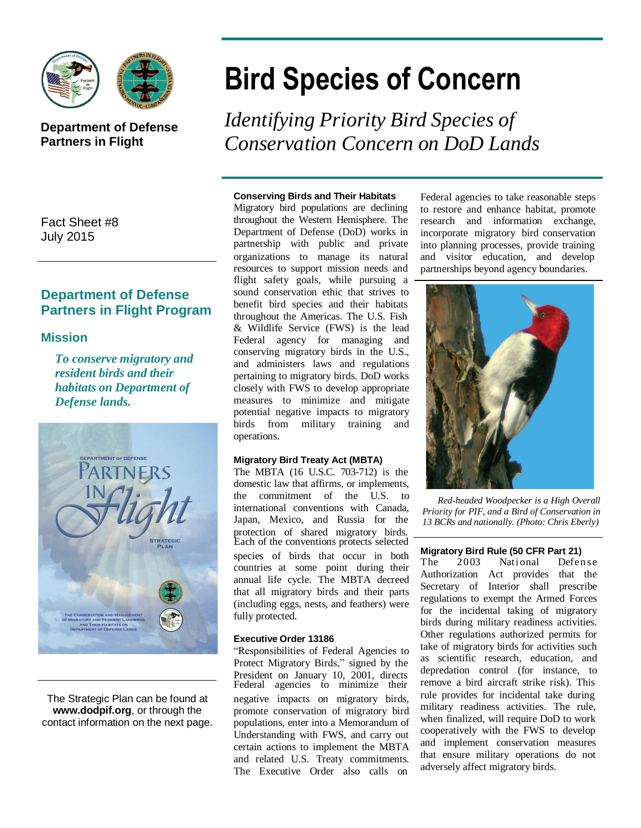

## **Department of Defense Partners in Flight**

Fact Sheet #8 July 2015

## **Department of Defense Partners in Flight Program**

### **Mission**

*To conserve migratory and resident birds and their habitats on Department of Defense lands.*



The Strategic Plan can be found at **[www.dodpif.org](http://www.dodpif.org/)**, or through the contact information on the next page.

# **Bird Species of Concern**

*Identifying Priority Bird Species of Conservation Concern on DoD Lands*

#### **Conserving Birds and Their Habitats**

Migratory bird populations are declining throughout the Western Hemisphere. The Department of Defense (DoD) works in partnership with public and private organizations to manage its natural resources to support mission needs and flight safety goals, while pursuing a sound conservation ethic that strives to benefit bird species and their habitats throughout the Americas. The U.S. Fish & Wildlife Service (FWS) is the lead Federal agency for managing and conserving migratory birds in the U.S., and administers laws and regulations pertaining to migratory birds. DoD works closely with FWS to develop appropriate measures to minimize and mitigate potential negative impacts to migratory birds from military training and operations.

#### **Migratory Bird Treaty Act (MBTA)**

The MBTA (16 U.S.C. 703-712) is the domestic law that affirms, or implements, the commitment of the U.S. to international conventions with Canada, Japan, Mexico, and Russia for the protection of shared migratory birds. Each of the conventions protects selected species of birds that occur in both countries at some point during their annual life cycle. The MBTA decreed that all migratory birds and their parts (including eggs, nests, and feathers) were fully protected.

#### **Executive Order 13186**

"Responsibilities of Federal Agencies to Protect Migratory Birds," signed by the President on January 10, 2001, directs Federal agencies to minimize their negative impacts on migratory birds, promote conservation of migratory bird populations, enter into a Memorandum of Understanding with FWS, and carry out certain actions to implement the MBTA and related U.S. Treaty commitments. The Executive Order also calls on

Federal agencies to take reasonable steps to restore and enhance habitat, promote research and information exchange, incorporate migratory bird conservation into planning processes, provide training and visitor education, and develop partnerships beyond agency boundaries.



*Red-headed Woodpecker is a High Overall Priority for PIF, and a Bird of Conservation in 13 BCRs and nationally. (Photo: Chris Eberly)*

#### **Migratory Bird Rule (50 CFR Part 21)**

The 2003 National Defense Authorization Act provides that the Secretary of Interior shall prescribe regulations to exempt the Armed Forces for the incidental taking of migratory birds during military readiness activities. Other regulations authorized permits for take of migratory birds for activities such as scientific research, education, and depredation control (for instance, to remove a bird aircraft strike risk). This rule provides for incidental take during military readiness activities. The rule, when finalized, will require DoD to work cooperatively with the FWS to develop and implement conservation measures that ensure military operations do not adversely affect migratory birds.